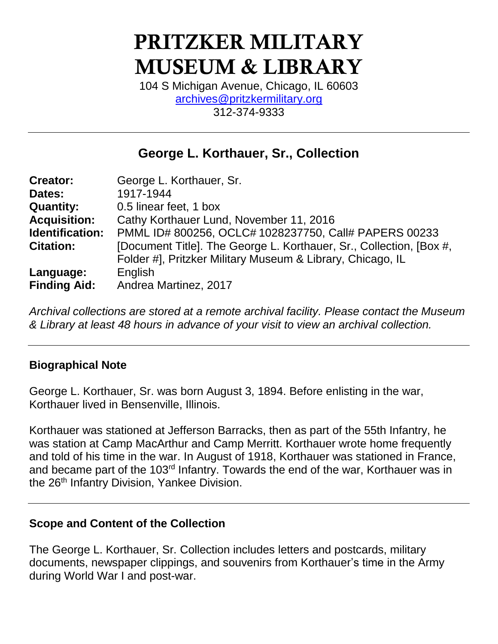# PRITZKER MILITARY MUSEUM & LIBRARY

104 S Michigan Avenue, Chicago, IL 60603 [archives@pritzkermilitary.org](mailto:archives@pritzkermilitary.org) 312-374-9333

### **George L. Korthauer, Sr., Collection**

| <b>Creator:</b>     | George L. Korthauer, Sr.                                            |
|---------------------|---------------------------------------------------------------------|
| Dates:              | 1917-1944                                                           |
| <b>Quantity:</b>    | 0.5 linear feet, 1 box                                              |
| <b>Acquisition:</b> | Cathy Korthauer Lund, November 11, 2016                             |
| Identification:     | PMML ID# 800256, OCLC# 1028237750, Call# PAPERS 00233               |
| <b>Citation:</b>    | [Document Title]. The George L. Korthauer, Sr., Collection, [Box #, |
|                     | Folder #], Pritzker Military Museum & Library, Chicago, IL          |
| Language:           | English                                                             |
| <b>Finding Aid:</b> | Andrea Martinez, 2017                                               |

*Archival collections are stored at a remote archival facility. Please contact the Museum & Library at least 48 hours in advance of your visit to view an archival collection.*

#### **Biographical Note**

George L. Korthauer, Sr. was born August 3, 1894. Before enlisting in the war, Korthauer lived in Bensenville, Illinois.

Korthauer was stationed at Jefferson Barracks, then as part of the 55th Infantry, he was station at Camp MacArthur and Camp Merritt. Korthauer wrote home frequently and told of his time in the war. In August of 1918, Korthauer was stationed in France, and became part of the 103<sup>rd</sup> Infantry. Towards the end of the war, Korthauer was in the 26<sup>th</sup> Infantry Division, Yankee Division.

#### **Scope and Content of the Collection**

The George L. Korthauer, Sr. Collection includes letters and postcards, military documents, newspaper clippings, and souvenirs from Korthauer's time in the Army during World War I and post-war.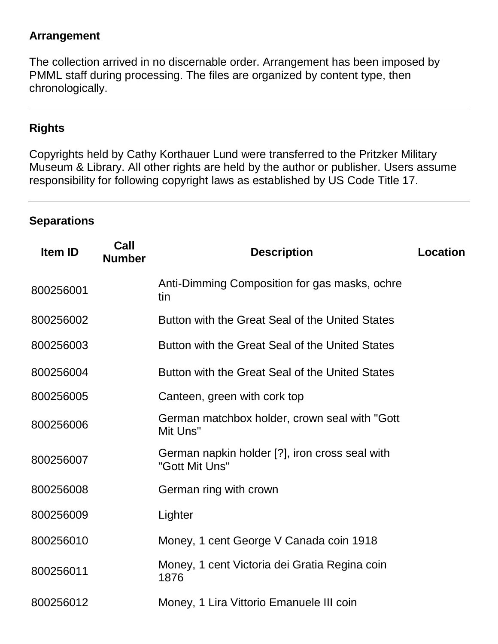#### **Arrangement**

The collection arrived in no discernable order. Arrangement has been imposed by PMML staff during processing. The files are organized by content type, then chronologically.

#### **Rights**

Copyrights held by Cathy Korthauer Lund were transferred to the Pritzker Military Museum & Library. All other rights are held by the author or publisher. Users assume responsibility for following copyright laws as established by US Code Title 17.

#### **Separations**

| <b>Item ID</b> | Call<br><b>Number</b> | <b>Description</b>                                               | Location |
|----------------|-----------------------|------------------------------------------------------------------|----------|
| 800256001      |                       | Anti-Dimming Composition for gas masks, ochre<br>tin             |          |
| 800256002      |                       | Button with the Great Seal of the United States                  |          |
| 800256003      |                       | Button with the Great Seal of the United States                  |          |
| 800256004      |                       | Button with the Great Seal of the United States                  |          |
| 800256005      |                       | Canteen, green with cork top                                     |          |
| 800256006      |                       | German matchbox holder, crown seal with "Gott"<br>Mit Uns"       |          |
| 800256007      |                       | German napkin holder [?], iron cross seal with<br>"Gott Mit Uns" |          |
| 800256008      |                       | German ring with crown                                           |          |
| 800256009      |                       | Lighter                                                          |          |
| 800256010      |                       | Money, 1 cent George V Canada coin 1918                          |          |
| 800256011      |                       | Money, 1 cent Victoria dei Gratia Regina coin<br>1876            |          |
| 800256012      |                       | Money, 1 Lira Vittorio Emanuele III coin                         |          |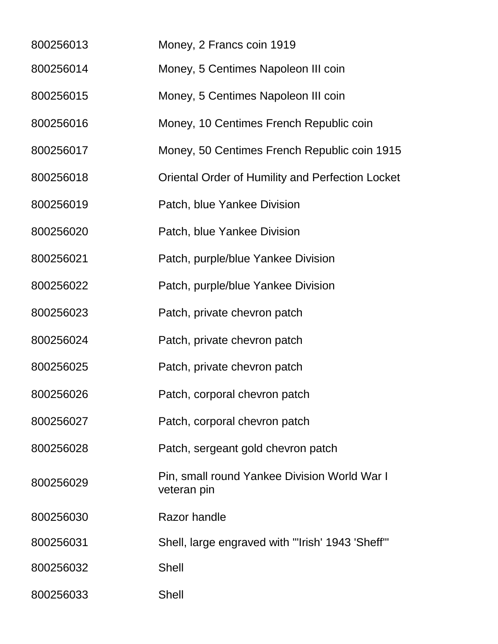- Money, 2 Francs coin 1919
- Money, 5 Centimes Napoleon III coin
- Money, 5 Centimes Napoleon III coin
- Money, 10 Centimes French Republic coin
- Money, 50 Centimes French Republic coin 1915
- Oriental Order of Humility and Perfection Locket
- Patch, blue Yankee Division
- Patch, blue Yankee Division
- Patch, purple/blue Yankee Division
- Patch, purple/blue Yankee Division
- Patch, private chevron patch
- Patch, private chevron patch
- Patch, private chevron patch
- Patch, corporal chevron patch
- Patch, corporal chevron patch
- Patch, sergeant gold chevron patch
- Pin, small round Yankee Division World War I veteran pin
- Razor handle
- Shell, large engraved with "'Irish' 1943 'Sheff'"
- Shell
- Shell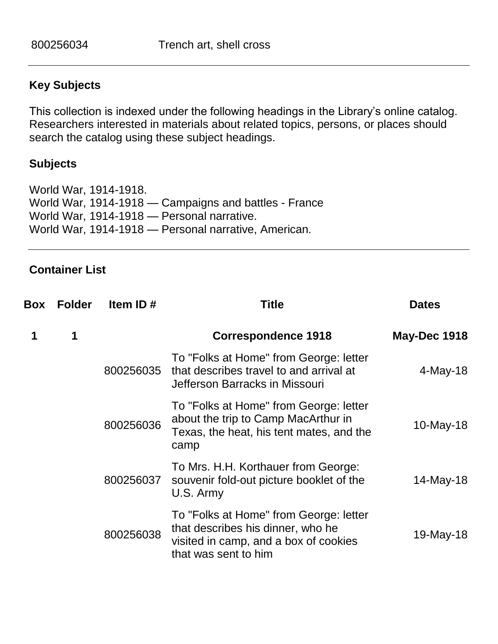#### **Key Subjects**

This collection is indexed under the following headings in the Library's online catalog. Researchers interested in materials about related topics, persons, or places should search the catalog using these subject headings.

#### **Subjects**

World War, 1914-1918. World War, 1914-1918 — Campaigns and battles - France World War, 1914-1918 — Personal narrative. World War, 1914-1918 — Personal narrative, American.

#### **Container List**

| Box | <b>Folder</b> | Item ID#  | <b>Title</b>                                                                                                                                 | <b>Dates</b>        |
|-----|---------------|-----------|----------------------------------------------------------------------------------------------------------------------------------------------|---------------------|
| 1   | 1             |           | <b>Correspondence 1918</b>                                                                                                                   | <b>May-Dec 1918</b> |
|     |               | 800256035 | To "Folks at Home" from George: letter<br>that describes travel to and arrival at<br>Jefferson Barracks in Missouri                          | $4$ -May-18         |
|     |               | 800256036 | To "Folks at Home" from George: letter<br>about the trip to Camp MacArthur in<br>Texas, the heat, his tent mates, and the<br>camp            | $10$ -May-18        |
|     |               | 800256037 | To Mrs. H.H. Korthauer from George:<br>souvenir fold-out picture booklet of the<br>U.S. Army                                                 | 14-May-18           |
|     |               | 800256038 | To "Folks at Home" from George: letter<br>that describes his dinner, who he<br>visited in camp, and a box of cookies<br>that was sent to him | 19-May-18           |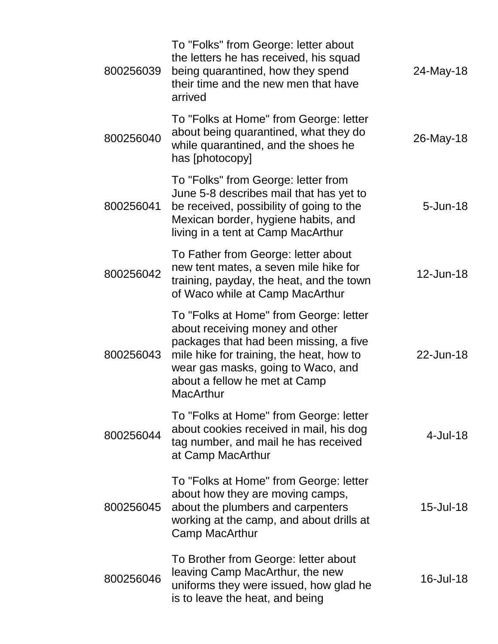| 800256039 | To "Folks" from George: letter about<br>the letters he has received, his squad<br>being quarantined, how they spend<br>their time and the new men that have<br>arrived                                                                                     | 24-May-18    |
|-----------|------------------------------------------------------------------------------------------------------------------------------------------------------------------------------------------------------------------------------------------------------------|--------------|
| 800256040 | To "Folks at Home" from George: letter<br>about being quarantined, what they do<br>while quarantined, and the shoes he<br>has [photocopy]                                                                                                                  | 26-May-18    |
| 800256041 | To "Folks" from George: letter from<br>June 5-8 describes mail that has yet to<br>be received, possibility of going to the<br>Mexican border, hygiene habits, and<br>living in a tent at Camp MacArthur                                                    | $5 - Jun-18$ |
| 800256042 | To Father from George: letter about<br>new tent mates, a seven mile hike for<br>training, payday, the heat, and the town<br>of Waco while at Camp MacArthur                                                                                                | 12-Jun-18    |
| 800256043 | To "Folks at Home" from George: letter<br>about receiving money and other<br>packages that had been missing, a five<br>mile hike for training, the heat, how to<br>wear gas masks, going to Waco, and<br>about a fellow he met at Camp<br><b>MacArthur</b> | 22-Jun-18    |
| 800256044 | To "Folks at Home" from George: letter<br>about cookies received in mail, his dog<br>tag number, and mail he has received<br>at Camp MacArthur                                                                                                             | $4$ -Jul-18  |
| 800256045 | To "Folks at Home" from George: letter<br>about how they are moving camps,<br>about the plumbers and carpenters<br>working at the camp, and about drills at<br>Camp MacArthur                                                                              | 15-Jul-18    |
| 800256046 | To Brother from George: letter about<br>leaving Camp MacArthur, the new<br>uniforms they were issued, how glad he<br>is to leave the heat, and being                                                                                                       | $16$ -Jul-18 |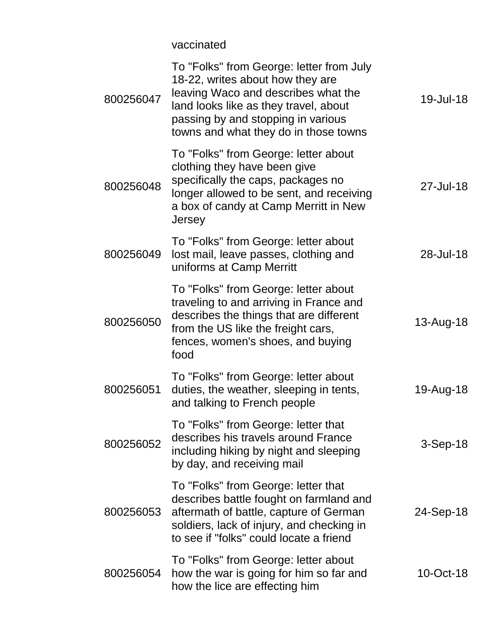vaccinated

| 800256047 | To "Folks" from George: letter from July<br>18-22, writes about how they are<br>leaving Waco and describes what the<br>land looks like as they travel, about<br>passing by and stopping in various<br>towns and what they do in those towns | 19-Jul-18  |
|-----------|---------------------------------------------------------------------------------------------------------------------------------------------------------------------------------------------------------------------------------------------|------------|
| 800256048 | To "Folks" from George: letter about<br>clothing they have been give<br>specifically the caps, packages no<br>longer allowed to be sent, and receiving<br>a box of candy at Camp Merritt in New<br>Jersey                                   | 27-Jul-18  |
| 800256049 | To "Folks" from George: letter about<br>lost mail, leave passes, clothing and<br>uniforms at Camp Merritt                                                                                                                                   | 28-Jul-18  |
| 800256050 | To "Folks" from George: letter about<br>traveling to and arriving in France and<br>describes the things that are different<br>from the US like the freight cars,<br>fences, women's shoes, and buying<br>food                               | 13-Aug-18  |
| 800256051 | To "Folks" from George: letter about<br>duties, the weather, sleeping in tents,<br>and talking to French people                                                                                                                             | 19-Aug-18  |
| 800256052 | To "Folks" from George: letter that<br>describes his travels around France<br>including hiking by night and sleeping<br>by day, and receiving mail                                                                                          | $3-Sep-18$ |
| 800256053 | To "Folks" from George: letter that<br>describes battle fought on farmland and<br>aftermath of battle, capture of German<br>soldiers, lack of injury, and checking in<br>to see if "folks" could locate a friend                            | 24-Sep-18  |
| 800256054 | To "Folks" from George: letter about<br>how the war is going for him so far and<br>how the lice are effecting him                                                                                                                           | 10-Oct-18  |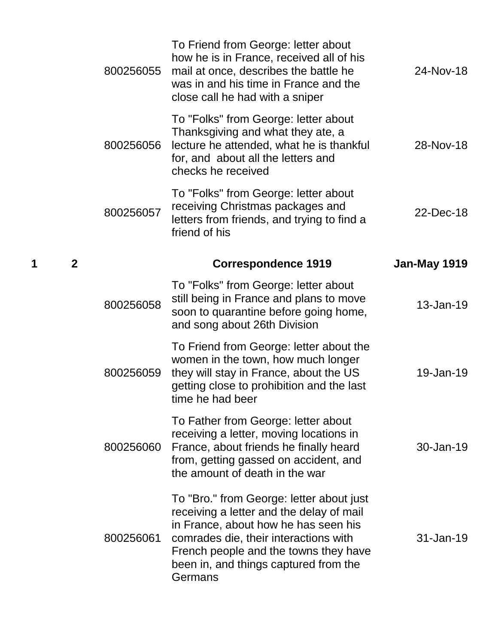|   |                | 800256055 | To Friend from George: letter about<br>how he is in France, received all of his<br>mail at once, describes the battle he<br>was in and his time in France and the<br>close call he had with a sniper                                                               | 24-Nov-18           |
|---|----------------|-----------|--------------------------------------------------------------------------------------------------------------------------------------------------------------------------------------------------------------------------------------------------------------------|---------------------|
|   |                | 800256056 | To "Folks" from George: letter about<br>Thanksgiving and what they ate, a<br>lecture he attended, what he is thankful<br>for, and about all the letters and<br>checks he received                                                                                  | 28-Nov-18           |
|   |                | 800256057 | To "Folks" from George: letter about<br>receiving Christmas packages and<br>letters from friends, and trying to find a<br>friend of his                                                                                                                            | 22-Dec-18           |
| 1 | $\overline{2}$ |           | <b>Correspondence 1919</b>                                                                                                                                                                                                                                         | <b>Jan-May 1919</b> |
|   |                | 800256058 | To "Folks" from George: letter about<br>still being in France and plans to move<br>soon to quarantine before going home,<br>and song about 26th Division                                                                                                           | 13-Jan-19           |
|   |                | 800256059 | To Friend from George: letter about the<br>women in the town, how much longer<br>they will stay in France, about the US<br>getting close to prohibition and the last<br>time he had beer                                                                           | 19-Jan-19           |
|   |                | 800256060 | To Father from George: letter about<br>receiving a letter, moving locations in<br>France, about friends he finally heard<br>from, getting gassed on accident, and<br>the amount of death in the war                                                                | $30 - Jan-19$       |
|   |                | 800256061 | To "Bro." from George: letter about just<br>receiving a letter and the delay of mail<br>in France, about how he has seen his<br>comrades die, their interactions with<br>French people and the towns they have<br>been in, and things captured from the<br>Germans | $31 - Jan-19$       |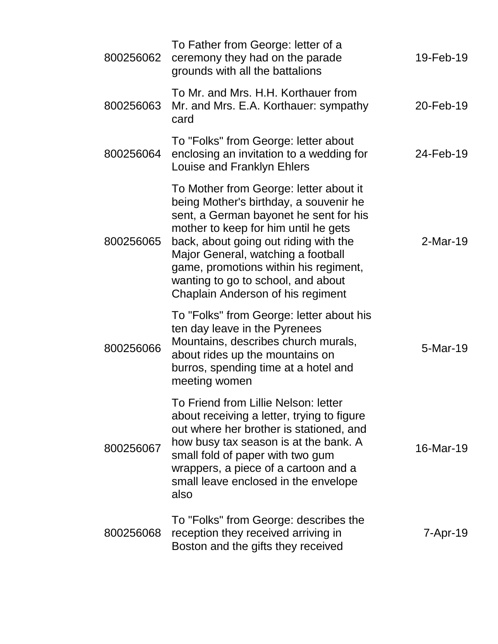| 800256062 | To Father from George: letter of a<br>ceremony they had on the parade<br>grounds with all the battalions                                                                                                                                                                                                                                                              | 19-Feb-19  |
|-----------|-----------------------------------------------------------------------------------------------------------------------------------------------------------------------------------------------------------------------------------------------------------------------------------------------------------------------------------------------------------------------|------------|
| 800256063 | To Mr. and Mrs. H.H. Korthauer from<br>Mr. and Mrs. E.A. Korthauer: sympathy<br>card                                                                                                                                                                                                                                                                                  | 20-Feb-19  |
| 800256064 | To "Folks" from George: letter about<br>enclosing an invitation to a wedding for<br>Louise and Franklyn Ehlers                                                                                                                                                                                                                                                        | 24-Feb-19  |
| 800256065 | To Mother from George: letter about it<br>being Mother's birthday, a souvenir he<br>sent, a German bayonet he sent for his<br>mother to keep for him until he gets<br>back, about going out riding with the<br>Major General, watching a football<br>game, promotions within his regiment,<br>wanting to go to school, and about<br>Chaplain Anderson of his regiment | $2-Mar-19$ |
| 800256066 | To "Folks" from George: letter about his<br>ten day leave in the Pyrenees<br>Mountains, describes church murals,<br>about rides up the mountains on<br>burros, spending time at a hotel and<br>meeting women                                                                                                                                                          | 5-Mar-19   |
| 800256067 | To Friend from Lillie Nelson: letter<br>about receiving a letter, trying to figure<br>out where her brother is stationed, and<br>how busy tax season is at the bank. A<br>small fold of paper with two gum<br>wrappers, a piece of a cartoon and a<br>small leave enclosed in the envelope<br>also                                                                    | 16-Mar-19  |
| 800256068 | To "Folks" from George: describes the<br>reception they received arriving in<br>Boston and the gifts they received                                                                                                                                                                                                                                                    | 7-Apr-19   |
|           |                                                                                                                                                                                                                                                                                                                                                                       |            |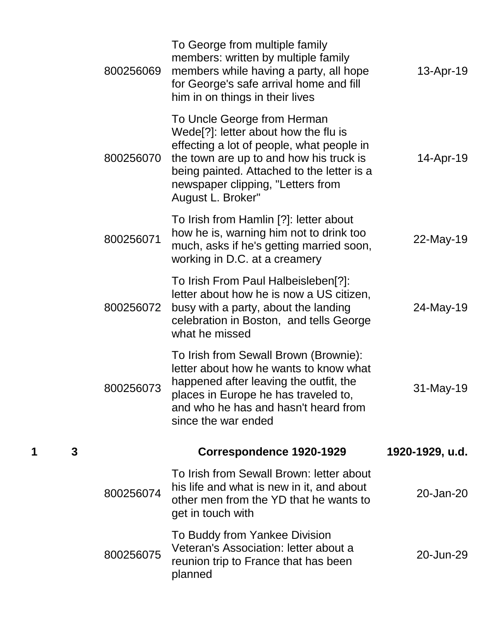|   |   | 800256069 | To George from multiple family<br>members: written by multiple family<br>members while having a party, all hope<br>for George's safe arrival home and fill<br>him in on things in their lives                                                                                    | 13-Apr-19       |
|---|---|-----------|----------------------------------------------------------------------------------------------------------------------------------------------------------------------------------------------------------------------------------------------------------------------------------|-----------------|
|   |   | 800256070 | To Uncle George from Herman<br>Wede <sup>[?]</sup> : letter about how the flu is<br>effecting a lot of people, what people in<br>the town are up to and how his truck is<br>being painted. Attached to the letter is a<br>newspaper clipping, "Letters from<br>August L. Broker" | 14-Apr-19       |
|   |   | 800256071 | To Irish from Hamlin [?]: letter about<br>how he is, warning him not to drink too<br>much, asks if he's getting married soon,<br>working in D.C. at a creamery                                                                                                                   | 22-May-19       |
|   |   | 800256072 | To Irish From Paul Halbeisleben[?]:<br>letter about how he is now a US citizen,<br>busy with a party, about the landing<br>celebration in Boston, and tells George<br>what he missed                                                                                             | 24-May-19       |
|   |   | 800256073 | To Irish from Sewall Brown (Brownie):<br>letter about how he wants to know what<br>happened after leaving the outfit, the<br>places in Europe he has traveled to,<br>and who he has and hasn't heard from<br>since the war ended                                                 | 31-May-19       |
| 1 | 3 |           | Correspondence 1920-1929                                                                                                                                                                                                                                                         | 1920-1929, u.d. |
|   |   | 800256074 | To Irish from Sewall Brown: letter about<br>his life and what is new in it, and about<br>other men from the YD that he wants to<br>get in touch with                                                                                                                             | 20-Jan-20       |
|   |   | 800256075 | To Buddy from Yankee Division<br>Veteran's Association: letter about a<br>reunion trip to France that has been<br>planned                                                                                                                                                        | 20-Jun-29       |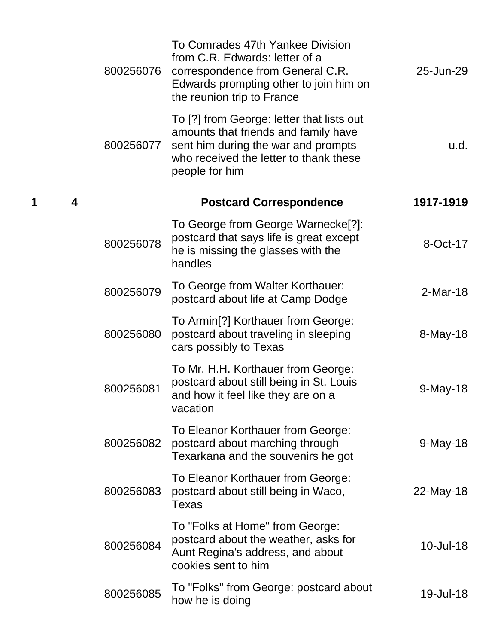|   |   | 800256076 | To Comrades 47th Yankee Division<br>from C.R. Edwards: letter of a<br>correspondence from General C.R.<br>Edwards prompting other to join him on<br>the reunion trip to France       | 25-Jun-29   |
|---|---|-----------|--------------------------------------------------------------------------------------------------------------------------------------------------------------------------------------|-------------|
|   |   | 800256077 | To [?] from George: letter that lists out<br>amounts that friends and family have<br>sent him during the war and prompts<br>who received the letter to thank these<br>people for him | u.d.        |
| 1 | 4 |           | <b>Postcard Correspondence</b>                                                                                                                                                       | 1917-1919   |
|   |   | 800256078 | To George from George Warnecke <sup>[?]</sup> :<br>postcard that says life is great except<br>he is missing the glasses with the<br>handles                                          | 8-Oct-17    |
|   |   | 800256079 | To George from Walter Korthauer:<br>postcard about life at Camp Dodge                                                                                                                | $2-Mar-18$  |
|   |   | 800256080 | To Armin <sup>[?]</sup> Korthauer from George:<br>postcard about traveling in sleeping<br>cars possibly to Texas                                                                     | 8-May-18    |
|   |   | 800256081 | To Mr. H.H. Korthauer from George:<br>postcard about still being in St. Louis<br>and how it feel like they are on a<br>vacation                                                      | $9$ -May-18 |
|   |   | 800256082 | To Eleanor Korthauer from George:<br>postcard about marching through<br>Texarkana and the souvenirs he got                                                                           | $9$ -May-18 |
|   |   | 800256083 | To Eleanor Korthauer from George:<br>postcard about still being in Waco,<br>Texas                                                                                                    | 22-May-18   |
|   |   | 800256084 | To "Folks at Home" from George:<br>postcard about the weather, asks for<br>Aunt Regina's address, and about<br>cookies sent to him                                                   | 10-Jul-18   |
|   |   | 800256085 | To "Folks" from George: postcard about<br>how he is doing                                                                                                                            | 19-Jul-18   |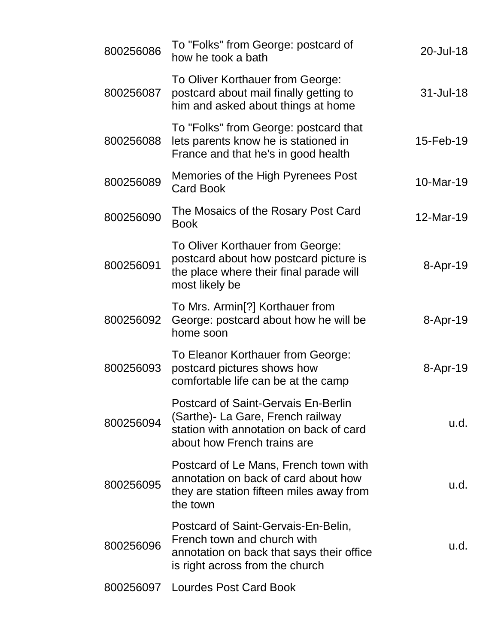| 800256086 | To "Folks" from George: postcard of<br>how he took a bath                                                                                                 | 20-Jul-18 |
|-----------|-----------------------------------------------------------------------------------------------------------------------------------------------------------|-----------|
| 800256087 | To Oliver Korthauer from George:<br>postcard about mail finally getting to<br>him and asked about things at home                                          | 31-Jul-18 |
| 800256088 | To "Folks" from George: postcard that<br>lets parents know he is stationed in<br>France and that he's in good health                                      | 15-Feb-19 |
| 800256089 | Memories of the High Pyrenees Post<br><b>Card Book</b>                                                                                                    | 10-Mar-19 |
| 800256090 | The Mosaics of the Rosary Post Card<br><b>Book</b>                                                                                                        | 12-Mar-19 |
| 800256091 | To Oliver Korthauer from George:<br>postcard about how postcard picture is<br>the place where their final parade will<br>most likely be                   | 8-Apr-19  |
| 800256092 | To Mrs. Armin[?] Korthauer from<br>George: postcard about how he will be<br>home soon                                                                     | 8-Apr-19  |
| 800256093 | To Eleanor Korthauer from George:<br>postcard pictures shows how<br>comfortable life can be at the camp                                                   | 8-Apr-19  |
| 800256094 | <b>Postcard of Saint-Gervais En-Berlin</b><br>(Sarthe)- La Gare, French railway<br>station with annotation on back of card<br>about how French trains are | u.d.      |
| 800256095 | Postcard of Le Mans, French town with<br>annotation on back of card about how<br>they are station fifteen miles away from<br>the town                     | u.d.      |
| 800256096 | Postcard of Saint-Gervais-En-Belin,<br>French town and church with<br>annotation on back that says their office<br>is right across from the church        | u.d.      |
|           | 800256097 Lourdes Post Card Book                                                                                                                          |           |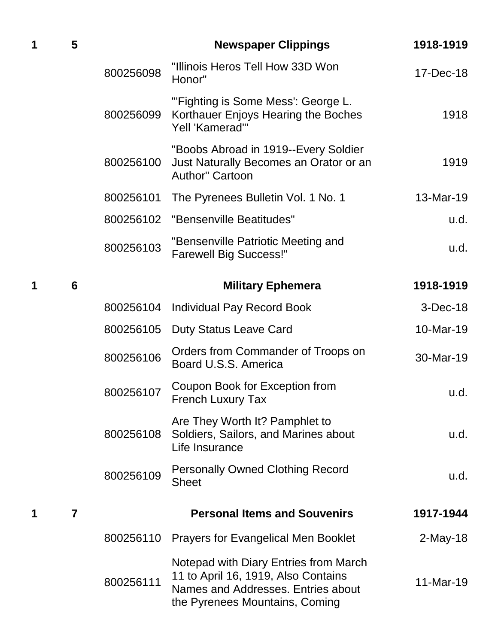| 1 | 5               |           | <b>Newspaper Clippings</b>                                                                                                                           | 1918-1919   |
|---|-----------------|-----------|------------------------------------------------------------------------------------------------------------------------------------------------------|-------------|
|   |                 | 800256098 | "Illinois Heros Tell How 33D Won<br>Honor"                                                                                                           | 17-Dec-18   |
|   |                 | 800256099 | "'Fighting is Some Mess': George L.<br>Korthauer Enjoys Hearing the Boches<br>Yell 'Kamerad"                                                         | 1918        |
|   |                 | 800256100 | "Boobs Abroad in 1919--Every Soldier<br>Just Naturally Becomes an Orator or an<br><b>Author" Cartoon</b>                                             | 1919        |
|   |                 | 800256101 | The Pyrenees Bulletin Vol. 1 No. 1                                                                                                                   | 13-Mar-19   |
|   |                 | 800256102 | "Bensenville Beatitudes"                                                                                                                             | u.d.        |
|   |                 | 800256103 | "Bensenville Patriotic Meeting and<br><b>Farewell Big Success!"</b>                                                                                  | u.d.        |
| 1 | $6\phantom{1}6$ |           | <b>Military Ephemera</b>                                                                                                                             | 1918-1919   |
|   |                 | 800256104 | <b>Individual Pay Record Book</b>                                                                                                                    | $3-Dec-18$  |
|   |                 | 800256105 | <b>Duty Status Leave Card</b>                                                                                                                        | 10-Mar-19   |
|   |                 | 800256106 | Orders from Commander of Troops on<br>Board U.S.S. America                                                                                           | 30-Mar-19   |
|   |                 | 800256107 | Coupon Book for Exception from<br>French Luxury Tax                                                                                                  | u.d.        |
|   |                 | 800256108 | Are They Worth It? Pamphlet to<br>Soldiers, Sailors, and Marines about<br>Life Insurance                                                             | u.d.        |
|   |                 | 800256109 | <b>Personally Owned Clothing Record</b><br><b>Sheet</b>                                                                                              | u.d.        |
| 1 | $\overline{7}$  |           | <b>Personal Items and Souvenirs</b>                                                                                                                  | 1917-1944   |
|   |                 | 800256110 | <b>Prayers for Evangelical Men Booklet</b>                                                                                                           | $2$ -May-18 |
|   |                 | 800256111 | Notepad with Diary Entries from March<br>11 to April 16, 1919, Also Contains<br>Names and Addresses. Entries about<br>the Pyrenees Mountains, Coming | 11-Mar-19   |